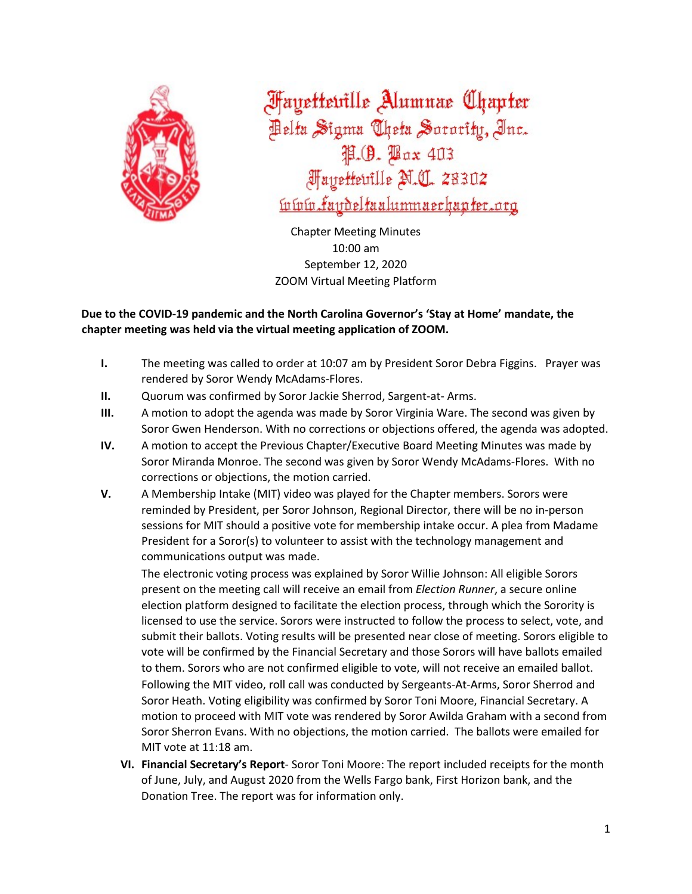

**Fayetteville Alumnae Chapter** Pelta Sigma Theta Sorority, Inc. P.O. Pax 403 **Mayetteuille M.C. 28302** <u>ívívír faydeltaalumnaechapter.org</u>

Chapter Meeting Minutes 10:00 am September 12, 2020 ZOOM Virtual Meeting Platform

# **Due to the COVID-19 pandemic and the North Carolina Governor's 'Stay at Home' mandate, the chapter meeting was held via the virtual meeting application of ZOOM.**

- **I.** The meeting was called to order at 10:07 am by President Soror Debra Figgins. Prayer was rendered by Soror Wendy McAdams-Flores.
- **II.** Quorum was confirmed by Soror Jackie Sherrod, Sargent-at- Arms.
- **III.** A motion to adopt the agenda was made by Soror Virginia Ware. The second was given by Soror Gwen Henderson. With no corrections or objections offered, the agenda was adopted.
- **IV.** A motion to accept the Previous Chapter/Executive Board Meeting Minutes was made by Soror Miranda Monroe. The second was given by Soror Wendy McAdams-Flores. With no corrections or objections, the motion carried.
- **V.** A Membership Intake (MIT) video was played for the Chapter members. Sorors were reminded by President, per Soror Johnson, Regional Director, there will be no in-person sessions for MIT should a positive vote for membership intake occur. A plea from Madame President for a Soror(s) to volunteer to assist with the technology management and communications output was made.

The electronic voting process was explained by Soror Willie Johnson: All eligible Sorors present on the meeting call will receive an email from *Election Runner*, a secure online election platform designed to facilitate the election process, through which the Sorority is licensed to use the service. Sorors were instructed to follow the process to select, vote, and submit their ballots. Voting results will be presented near close of meeting. Sorors eligible to vote will be confirmed by the Financial Secretary and those Sorors will have ballots emailed to them. Sorors who are not confirmed eligible to vote, will not receive an emailed ballot. Following the MIT video, roll call was conducted by Sergeants-At-Arms, Soror Sherrod and Soror Heath. Voting eligibility was confirmed by Soror Toni Moore, Financial Secretary. A motion to proceed with MIT vote was rendered by Soror Awilda Graham with a second from Soror Sherron Evans. With no objections, the motion carried. The ballots were emailed for MIT vote at 11:18 am.

**VI. Financial Secretary's Report**- Soror Toni Moore: The report included receipts for the month of June, July, and August 2020 from the Wells Fargo bank, First Horizon bank, and the Donation Tree. The report was for information only.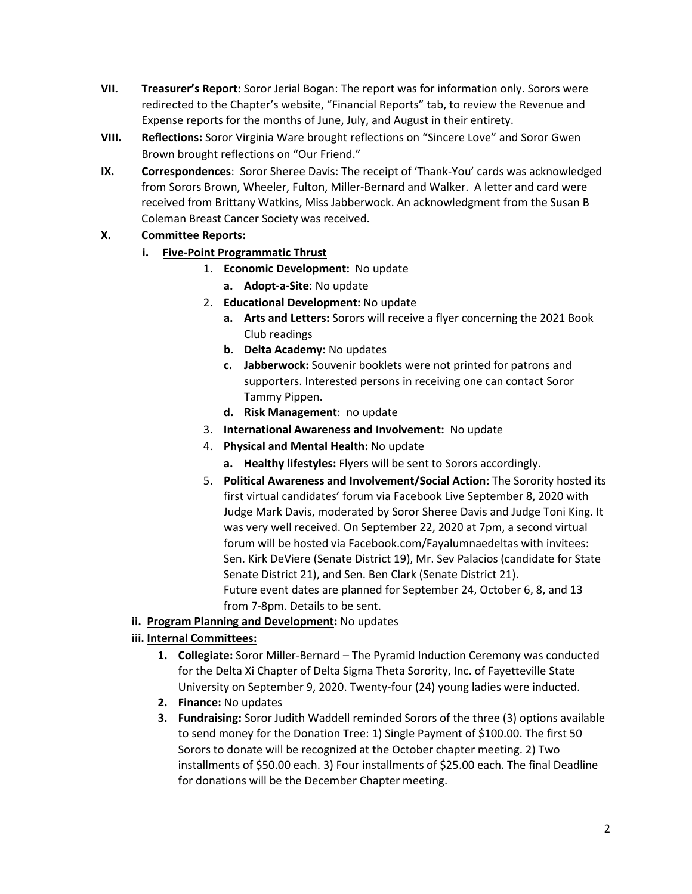- **VII. Treasurer's Report:** Soror Jerial Bogan: The report was for information only. Sorors were redirected to the Chapter's website, "Financial Reports" tab, to review the Revenue and Expense reports for the months of June, July, and August in their entirety.
- **VIII. Reflections:** Soror Virginia Ware brought reflections on "Sincere Love" and Soror Gwen Brown brought reflections on "Our Friend."
- **IX. Correspondences**: Soror Sheree Davis: The receipt of 'Thank-You' cards was acknowledged from Sorors Brown, Wheeler, Fulton, Miller-Bernard and Walker. A letter and card were received from Brittany Watkins, Miss Jabberwock. An acknowledgment from the Susan B Coleman Breast Cancer Society was received.

# **X. Committee Reports:**

- **i. Five-Point Programmatic Thrust**
	- 1. **Economic Development:** No update
		- **a. Adopt-a-Site**: No update
	- 2. **Educational Development:** No update
		- **a. Arts and Letters:** Sorors will receive a flyer concerning the 2021 Book Club readings
		- **b. Delta Academy:** No updates
		- **c. Jabberwock:** Souvenir booklets were not printed for patrons and supporters. Interested persons in receiving one can contact Soror Tammy Pippen.
		- **d. Risk Management**: no update
	- 3. **International Awareness and Involvement:** No update
	- 4. **Physical and Mental Health:** No update
		- **a. Healthy lifestyles:** Flyers will be sent to Sorors accordingly.
	- 5. **Political Awareness and Involvement/Social Action:** The Sorority hosted its first virtual candidates' forum via Facebook Live September 8, 2020 with Judge Mark Davis, moderated by Soror Sheree Davis and Judge Toni King. It was very well received. On September 22, 2020 at 7pm, a second virtual forum will be hosted via Facebook.com/Fayalumnaedeltas with invitees: Sen. Kirk DeViere (Senate District 19), Mr. Sev Palacios (candidate for State Senate District 21), and Sen. Ben Clark (Senate District 21). Future event dates are planned for September 24, October 6, 8, and 13 from 7-8pm. Details to be sent.
- **ii. Program Planning and Development:** No updates
- **iii. Internal Committees:**
	- **1. Collegiate:** Soror Miller-Bernard The Pyramid Induction Ceremony was conducted for the Delta Xi Chapter of Delta Sigma Theta Sorority, Inc. of Fayetteville State University on September 9, 2020. Twenty-four (24) young ladies were inducted.
	- **2. Finance:** No updates
	- **3. Fundraising:** Soror Judith Waddell reminded Sorors of the three (3) options available to send money for the Donation Tree: 1) Single Payment of \$100.00. The first 50 Sorors to donate will be recognized at the October chapter meeting. 2) Two installments of \$50.00 each. 3) Four installments of \$25.00 each. The final Deadline for donations will be the December Chapter meeting.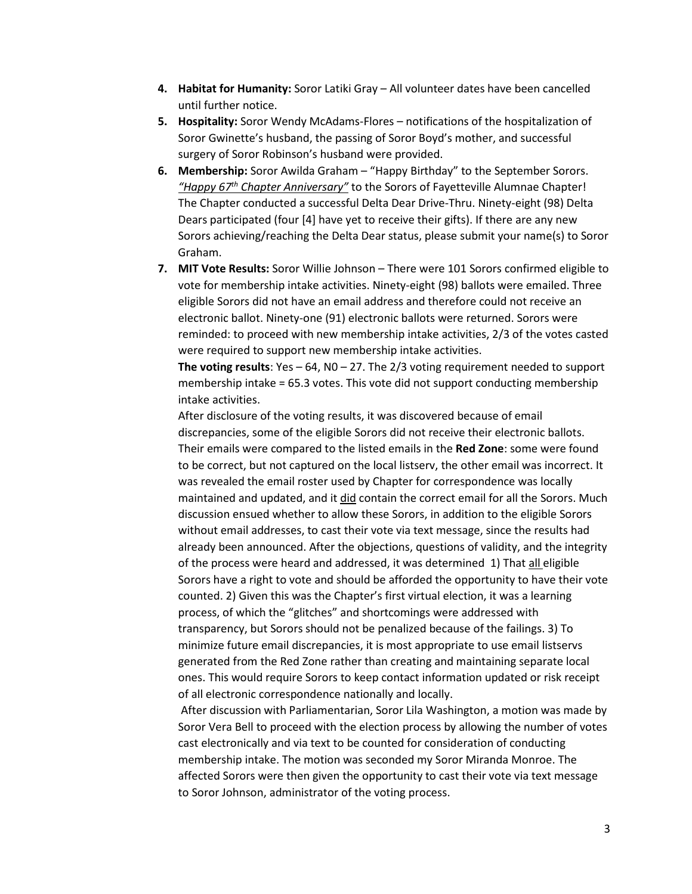- **4. Habitat for Humanity:** Soror Latiki Gray All volunteer dates have been cancelled until further notice.
- **5. Hospitality:** Soror Wendy McAdams-Flores notifications of the hospitalization of Soror Gwinette's husband, the passing of Soror Boyd's mother, and successful surgery of Soror Robinson's husband were provided.
- **6. Membership:** Soror Awilda Graham "Happy Birthday" to the September Sorors. *"Happy 67th Chapter Anniversary"* to the Sorors of Fayetteville Alumnae Chapter! The Chapter conducted a successful Delta Dear Drive-Thru. Ninety-eight (98) Delta Dears participated (four [4] have yet to receive their gifts). If there are any new Sorors achieving/reaching the Delta Dear status, please submit your name(s) to Soror Graham.
- **7. MIT Vote Results:** Soror Willie Johnson There were 101 Sorors confirmed eligible to vote for membership intake activities. Ninety-eight (98) ballots were emailed. Three eligible Sorors did not have an email address and therefore could not receive an electronic ballot. Ninety-one (91) electronic ballots were returned. Sorors were reminded: to proceed with new membership intake activities, 2/3 of the votes casted were required to support new membership intake activities.

**The voting results**: Yes – 64, N0 – 27. The 2/3 voting requirement needed to support membership intake = 65.3 votes. This vote did not support conducting membership intake activities.

After disclosure of the voting results, it was discovered because of email discrepancies, some of the eligible Sorors did not receive their electronic ballots. Their emails were compared to the listed emails in the **Red Zone**: some were found to be correct, but not captured on the local listserv, the other email was incorrect. It was revealed the email roster used by Chapter for correspondence was locally maintained and updated, and it did contain the correct email for all the Sorors. Much discussion ensued whether to allow these Sorors, in addition to the eligible Sorors without email addresses, to cast their vote via text message, since the results had already been announced. After the objections, questions of validity, and the integrity of the process were heard and addressed, it was determined 1) That all eligible Sorors have a right to vote and should be afforded the opportunity to have their vote counted. 2) Given this was the Chapter's first virtual election, it was a learning process, of which the "glitches" and shortcomings were addressed with transparency, but Sorors should not be penalized because of the failings. 3) To minimize future email discrepancies, it is most appropriate to use email listservs generated from the Red Zone rather than creating and maintaining separate local ones. This would require Sorors to keep contact information updated or risk receipt of all electronic correspondence nationally and locally.

After discussion with Parliamentarian, Soror Lila Washington, a motion was made by Soror Vera Bell to proceed with the election process by allowing the number of votes cast electronically and via text to be counted for consideration of conducting membership intake. The motion was seconded my Soror Miranda Monroe. The affected Sorors were then given the opportunity to cast their vote via text message to Soror Johnson, administrator of the voting process.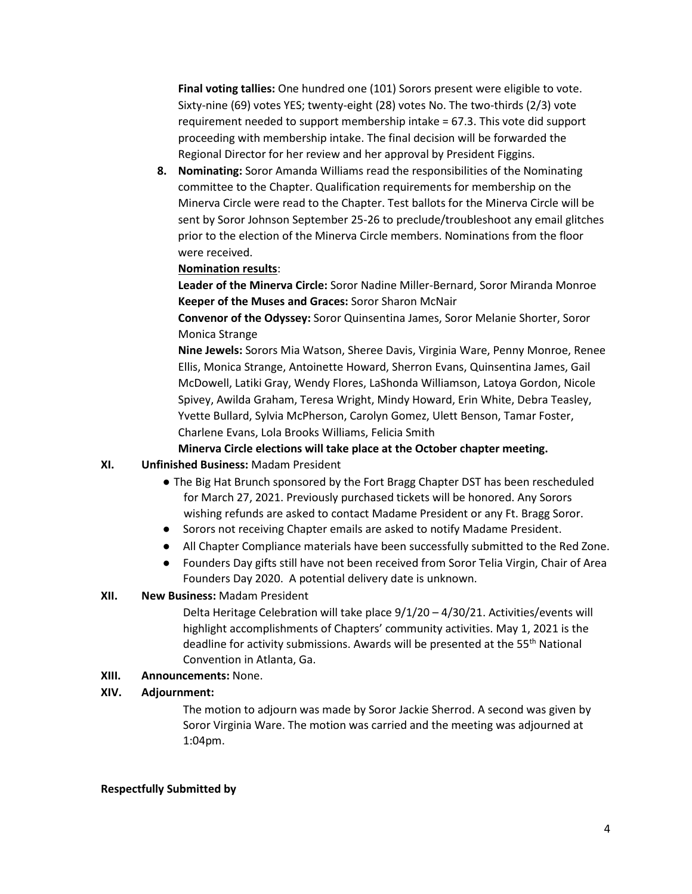**Final voting tallies:** One hundred one (101) Sorors present were eligible to vote. Sixty-nine (69) votes YES; twenty-eight (28) votes No. The two-thirds (2/3) vote requirement needed to support membership intake = 67.3. This vote did support proceeding with membership intake. The final decision will be forwarded the Regional Director for her review and her approval by President Figgins.

**8. Nominating:** Soror Amanda Williams read the responsibilities of the Nominating committee to the Chapter. Qualification requirements for membership on the Minerva Circle were read to the Chapter. Test ballots for the Minerva Circle will be sent by Soror Johnson September 25-26 to preclude/troubleshoot any email glitches prior to the election of the Minerva Circle members. Nominations from the floor were received.

### **Nomination results**:

**Leader of the Minerva Circle:** Soror Nadine Miller-Bernard, Soror Miranda Monroe **Keeper of the Muses and Graces:** Soror Sharon McNair

**Convenor of the Odyssey:** Soror Quinsentina James, Soror Melanie Shorter, Soror Monica Strange

**Nine Jewels:** Sorors Mia Watson, Sheree Davis, Virginia Ware, Penny Monroe, Renee Ellis, Monica Strange, Antoinette Howard, Sherron Evans, Quinsentina James, Gail McDowell, Latiki Gray, Wendy Flores, LaShonda Williamson, Latoya Gordon, Nicole Spivey, Awilda Graham, Teresa Wright, Mindy Howard, Erin White, Debra Teasley, Yvette Bullard, Sylvia McPherson, Carolyn Gomez, Ulett Benson, Tamar Foster, Charlene Evans, Lola Brooks Williams, Felicia Smith

### **Minerva Circle elections will take place at the October chapter meeting.**

#### **XI. Unfinished Business:** Madam President

- The Big Hat Brunch sponsored by the Fort Bragg Chapter DST has been rescheduled for March 27, 2021. Previously purchased tickets will be honored. Any Sorors wishing refunds are asked to contact Madame President or any Ft. Bragg Soror.
- Sorors not receiving Chapter emails are asked to notify Madame President.
- All Chapter Compliance materials have been successfully submitted to the Red Zone.
- Founders Day gifts still have not been received from Soror Telia Virgin, Chair of Area Founders Day 2020. A potential delivery date is unknown.

## **XII. New Business:** Madam President

Delta Heritage Celebration will take place 9/1/20 – 4/30/21. Activities/events will highlight accomplishments of Chapters' community activities. May 1, 2021 is the deadline for activity submissions. Awards will be presented at the 55<sup>th</sup> National Convention in Atlanta, Ga.

#### **XIII. Announcements:** None.

## **XIV. Adjournment:**

The motion to adjourn was made by Soror Jackie Sherrod. A second was given by Soror Virginia Ware. The motion was carried and the meeting was adjourned at 1:04pm.

#### **Respectfully Submitted by**